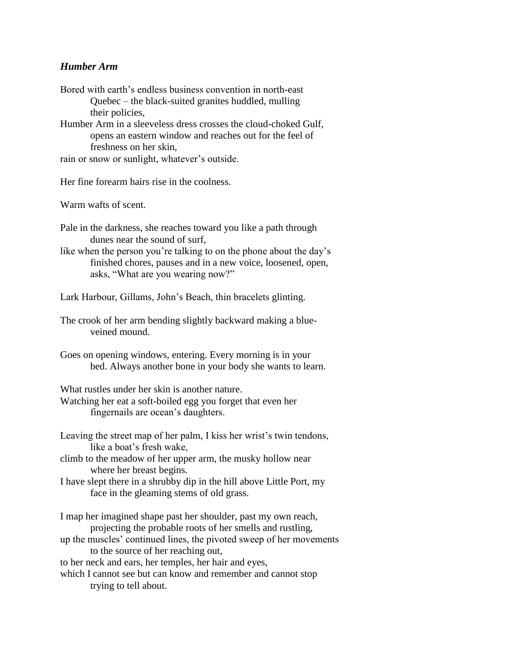## *Humber Arm*

- Bored with earth's endless business convention in north-east Quebec – the black-suited granites huddled, mulling their policies,
- Humber Arm in a sleeveless dress crosses the cloud-choked Gulf, opens an eastern window and reaches out for the feel of freshness on her skin,
- rain or snow or sunlight, whatever's outside.
- Her fine forearm hairs rise in the coolness.

Warm wafts of scent.

- Pale in the darkness, she reaches toward you like a path through dunes near the sound of surf,
- like when the person you're talking to on the phone about the day's finished chores, pauses and in a new voice, loosened, open, asks, "What are you wearing now?"
- Lark Harbour, Gillams, John's Beach, thin bracelets glinting.
- The crook of her arm bending slightly backward making a blueveined mound.
- Goes on opening windows, entering. Every morning is in your bed. Always another bone in your body she wants to learn.

What rustles under her skin is another nature.

- Watching her eat a soft-boiled egg you forget that even her fingernails are ocean's daughters.
- Leaving the street map of her palm, I kiss her wrist's twin tendons, like a boat's fresh wake,
- climb to the meadow of her upper arm, the musky hollow near where her breast begins.
- I have slept there in a shrubby dip in the hill above Little Port, my face in the gleaming stems of old grass.
- I map her imagined shape past her shoulder, past my own reach, projecting the probable roots of her smells and rustling,
- up the muscles' continued lines, the pivoted sweep of her movements to the source of her reaching out,

to her neck and ears, her temples, her hair and eyes,

which I cannot see but can know and remember and cannot stop trying to tell about.